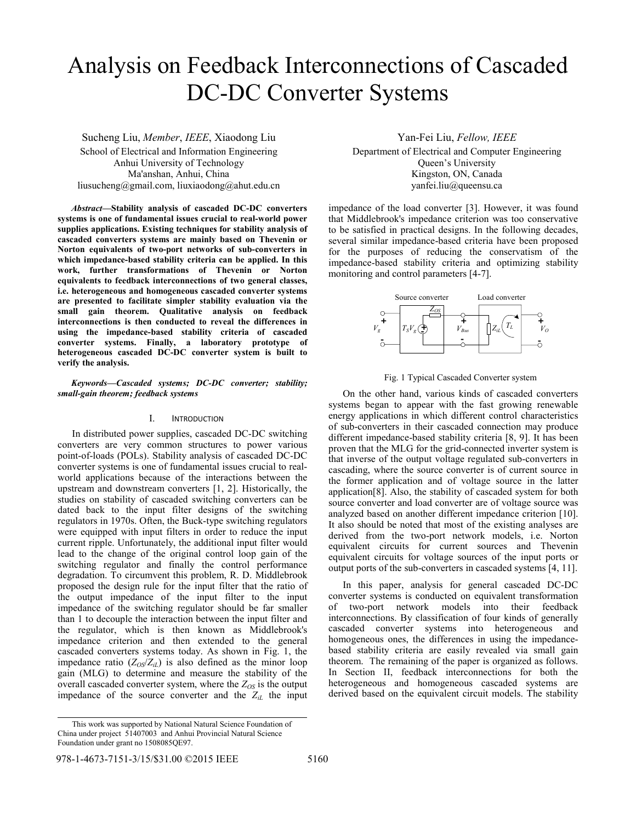# Analysis on Feedback Interconnections of Cascaded DC-DC Converter Systems

Sucheng Liu, *Member*, *IEEE*, Xiaodong Liu School of Electrical and Information Engineering Anhui University of Technology Ma'anshan, Anhui, China liusucheng@gmail.com, liuxiaodong@ahut.edu.cn

*Abstract***—Stability analysis of cascaded DC-DC converters systems is one of fundamental issues crucial to real-world power supplies applications. Existing techniques for stability analysis of cascaded converters systems are mainly based on Thevenin or Norton equivalents of two-port networks of sub-converters in which impedance-based stability criteria can be applied. In this work, further transformations of Thevenin or Norton equivalents to feedback interconnections of two general classes, i.e. heterogeneous and homogeneous cascaded converter systems are presented to facilitate simpler stability evaluation via the small gain theorem. Qualitative analysis on feedback interconnections is then conducted to reveal the differences in using the impedance-based stability criteria of cascaded converter systems. Finally, a laboratory prototype of heterogeneous cascaded DC-DC converter system is built to verify the analysis.** 

*Keywords—Cascaded systems; DC-DC converter; stability; small-gain theorem; feedback systems* 

## I. INTRODUCTION

In distributed power supplies, cascaded DC-DC switching converters are very common structures to power various point-of-loads (POLs). Stability analysis of cascaded DC-DC converter systems is one of fundamental issues crucial to realworld applications because of the interactions between the upstream and downstream converters [1, 2]. Historically, the studies on stability of cascaded switching converters can be dated back to the input filter designs of the switching regulators in 1970s. Often, the Buck-type switching regulators were equipped with input filters in order to reduce the input current ripple. Unfortunately, the additional input filter would lead to the change of the original control loop gain of the switching regulator and finally the control performance degradation. To circumvent this problem, R. D. Middlebrook proposed the design rule for the input filter that the ratio of the output impedance of the input filter to the input impedance of the switching regulator should be far smaller than 1 to decouple the interaction between the input filter and the regulator, which is then known as Middlebrook's impedance criterion and then extended to the general cascaded converters systems today. As shown in Fig. 1, the impedance ratio  $(Z_{OS}/Z_{iL})$  is also defined as the minor loop gain (MLG) to determine and measure the stability of the overall cascaded converter system, where the  $Z_{OS}$  is the output impedance of the source converter and the *ZiL* the input

978-1-4673-7151-3/15/\$31.00 ©2015 IEEE 5160

Department of Electrical and Computer Engineering Queen's University Kingston, ON, Canada yanfei.liu@queensu.ca

impedance of the load converter [3]. However, it was found that Middlebrook's impedance criterion was too conservative to be satisfied in practical designs. In the following decades, several similar impedance-based criteria have been proposed for the purposes of reducing the conservatism of the impedance-based stability criteria and optimizing stability monitoring and control parameters [4-7].



Fig. 1 Typical Cascaded Converter system

On the other hand, various kinds of cascaded converters systems began to appear with the fast growing renewable energy applications in which different control characteristics of sub-converters in their cascaded connection may produce different impedance-based stability criteria [8, 9]. It has been proven that the MLG for the grid-connected inverter system is that inverse of the output voltage regulated sub-converters in cascading, where the source converter is of current source in the former application and of voltage source in the latter application[8]. Also, the stability of cascaded system for both source converter and load converter are of voltage source was analyzed based on another different impedance criterion [10]. It also should be noted that most of the existing analyses are derived from the two-port network models, i.e. Norton equivalent circuits for current sources and Thevenin equivalent circuits for voltage sources of the input ports or output ports of the sub-converters in cascaded systems [4, 11].

In this paper, analysis for general cascaded DC-DC converter systems is conducted on equivalent transformation of two-port network models into their feedback interconnections. By classification of four kinds of generally cascaded converter systems into heterogeneous and homogeneous ones, the differences in using the impedancebased stability criteria are easily revealed via small gain theorem. The remaining of the paper is organized as follows. In Section II, feedback interconnections for both the heterogeneous and homogeneous cascaded systems are derived based on the equivalent circuit models. The stability

This work was supported by National Natural Science Foundation of China under project 51407003 and Anhui Provincial Natural Science Foundation under grant no 1508085QE97.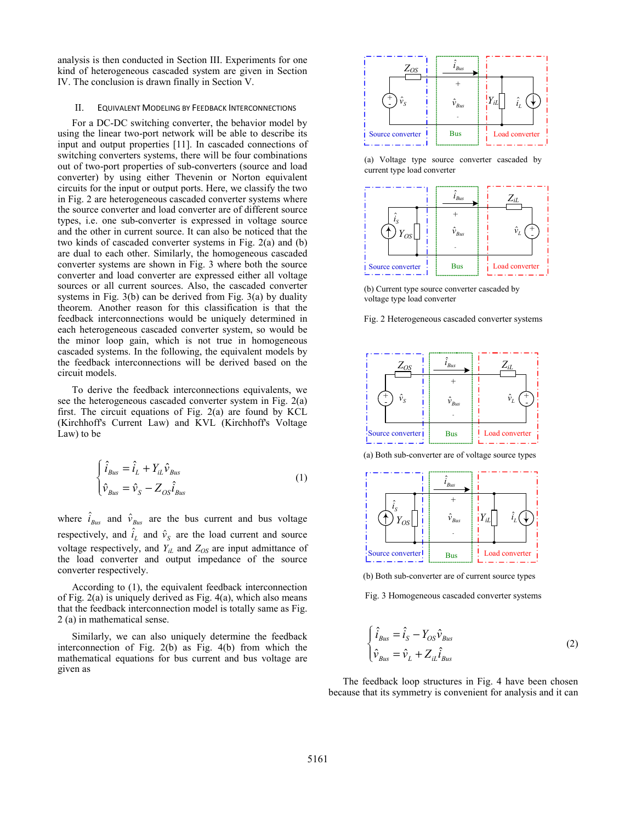analysis is then conducted in Section III. Experiments for one kind of heterogeneous cascaded system are given in Section IV. The conclusion is drawn finally in Section V.

## II. EQUIVALENT MODELING BY FEEDBACK INTERCONNECTIONS

For a DC-DC switching converter, the behavior model by using the linear two-port network will be able to describe its input and output properties [11]. In cascaded connections of switching converters systems, there will be four combinations out of two-port properties of sub-converters (source and load converter) by using either Thevenin or Norton equivalent circuits for the input or output ports. Here, we classify the two in Fig. 2 are heterogeneous cascaded converter systems where the source converter and load converter are of different source types, i.e. one sub-converter is expressed in voltage source and the other in current source. It can also be noticed that the two kinds of cascaded converter systems in Fig. 2(a) and (b) are dual to each other. Similarly, the homogeneous cascaded converter systems are shown in Fig. 3 where both the source converter and load converter are expressed either all voltage sources or all current sources. Also, the cascaded converter systems in Fig. 3(b) can be derived from Fig. 3(a) by duality theorem. Another reason for this classification is that the feedback interconnections would be uniquely determined in each heterogeneous cascaded converter system, so would be the minor loop gain, which is not true in homogeneous cascaded systems. In the following, the equivalent models by the feedback interconnections will be derived based on the circuit models.

To derive the feedback interconnections equivalents, we see the heterogeneous cascaded converter system in Fig. 2(a) first. The circuit equations of Fig. 2(a) are found by KCL (Kirchhoff's Current Law) and KVL (Kirchhoff's Voltage Law) to be

$$
\begin{cases}\n\hat{i}_{Bus} = \hat{i}_L + Y_{iL}\hat{v}_{Bus} \\
\hat{v}_{Bus} = \hat{v}_S - Z_{OS}\hat{i}_{Bus}\n\end{cases}
$$
\n(1)

where  $\hat{i}_{Bus}$  and  $\hat{v}_{Bus}$  are the bus current and bus voltage respectively, and  $\hat{i}_L$  and  $\hat{v}_S$  are the load current and source voltage respectively, and  $Y_{iL}$  and  $Z_{OS}$  are input admittance of the load converter and output impedance of the source converter respectively.

According to (1), the equivalent feedback interconnection of Fig. 2(a) is uniquely derived as Fig. 4(a), which also means that the feedback interconnection model is totally same as Fig. 2 (a) in mathematical sense.

Similarly, we can also uniquely determine the feedback interconnection of Fig. 2(b) as Fig. 4(b) from which the mathematical equations for bus current and bus voltage are given as



(a) Voltage type source converter cascaded by current type load converter



(b) Current type source converter cascaded by voltage type load converter





(a) Both sub-converter are of voltage source types



(b) Both sub-converter are of current source types

Fig. 3 Homogeneous cascaded converter systems

$$
\begin{cases}\n\hat{i}_{Bus} = \hat{i}_S - Y_{OS} \hat{v}_{Bus} \\
\hat{v}_{Bus} = \hat{v}_L + Z_{ik} \hat{i}_{Bus}\n\end{cases}
$$
\n(2)

The feedback loop structures in Fig. 4 have been chosen because that its symmetry is convenient for analysis and it can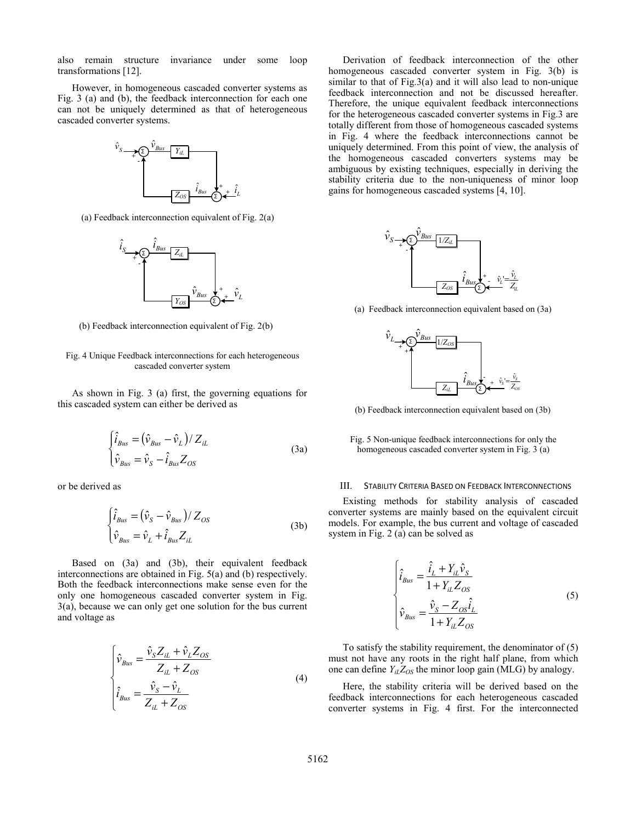also remain structure invariance under some loop transformations [12].

However, in homogeneous cascaded converter systems as Fig. 3 (a) and (b), the feedback interconnection for each one can not be uniquely determined as that of heterogeneous cascaded converter systems.



(a) Feedback interconnection equivalent of Fig. 2(a)



(b) Feedback interconnection equivalent of Fig. 2(b)

## Fig. 4 Unique Feedback interconnections for each heterogeneous cascaded converter system

As shown in Fig. 3 (a) first, the governing equations for this cascaded system can either be derived as

$$
\begin{cases}\n\hat{i}_{Bus} = (\hat{v}_{Bus} - \hat{v}_L)/Z_{iL} \\
\hat{v}_{Bus} = \hat{v}_S - \hat{i}_{Bus}Z_{OS}\n\end{cases}
$$
\n(3a)

or be derived as

$$
\begin{cases}\n\hat{i}_{bus} = (\hat{v}_S - \hat{v}_{bus})/Z_{OS} \\
\hat{v}_{Bus} = \hat{v}_L + \hat{i}_{bus}Z_{iL}\n\end{cases}
$$
\n(3b)

Based on (3a) and (3b), their equivalent feedback interconnections are obtained in Fig. 5(a) and (b) respectively. Both the feedback interconnections make sense even for the only one homogeneous cascaded converter system in Fig. 3(a), because we can only get one solution for the bus current and voltage as

$$
\begin{cases}\n\hat{\mathbf{v}}_{\text{Bus}} = \frac{\hat{\mathbf{v}}_{\text{S}} Z_{iL} + \hat{\mathbf{v}}_{\text{L}} Z_{\text{OS}}}{Z_{iL} + Z_{\text{OS}}} \\
\hat{i}_{\text{Bus}} = \frac{\hat{\mathbf{v}}_{\text{S}} - \hat{\mathbf{v}}_{\text{L}}}{Z_{iL} + Z_{\text{OS}}} \n\end{cases} \tag{4}
$$

Derivation of feedback interconnection of the other homogeneous cascaded converter system in Fig. 3(b) is similar to that of Fig.3(a) and it will also lead to non-unique feedback interconnection and not be discussed hereafter. Therefore, the unique equivalent feedback interconnections for the heterogeneous cascaded converter systems in Fig.3 are totally different from those of homogeneous cascaded systems in Fig. 4 where the feedback interconnections cannot be uniquely determined. From this point of view, the analysis of the homogeneous cascaded converters systems may be ambiguous by existing techniques, especially in deriving the stability criteria due to the non-uniqueness of minor loop gains for homogeneous cascaded systems [4, 10].



(a) Feedback interconnection equivalent based on (3a)



(b) Feedback interconnection equivalent based on (3b)

Fig. 5 Non-unique feedback interconnections for only the homogeneous cascaded converter system in Fig. 3 (a)

# III. STABILITY CRITERIA BASED ON FEEDBACK INTERCONNECTIONS

Existing methods for stability analysis of cascaded converter systems are mainly based on the equivalent circuit models. For example, the bus current and voltage of cascaded system in Fig. 2 (a) can be solved as

$$
\begin{cases}\n\hat{i}_{Bus} = \frac{\hat{i}_L + Y_{iL}\hat{v}_S}{1 + Y_{iL}Z_{OS}} \\
\hat{v}_{Bus} = \frac{\hat{v}_S - Z_{OS}\hat{i}_L}{1 + Y_{iL}Z_{OS}}\n\end{cases}
$$
\n(5)

To satisfy the stability requirement, the denominator of (5) must not have any roots in the right half plane, from which one can define  $Y_{iL}Z_{OS}$  the minor loop gain (MLG) by analogy.

Here, the stability criteria will be derived based on the feedback interconnections for each heterogeneous cascaded converter systems in Fig. 4 first. For the interconnected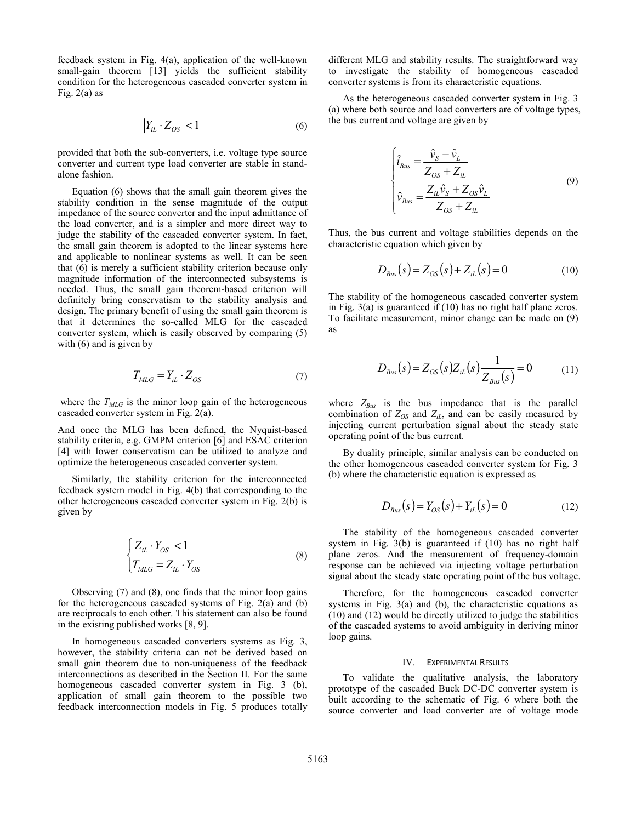feedback system in Fig. 4(a), application of the well-known small-gain theorem [13] yields the sufficient stability condition for the heterogeneous cascaded converter system in Fig.  $2(a)$  as

$$
\left| Y_{i} \cdot Z_{OS} \right| < 1 \tag{6}
$$

provided that both the sub-converters, i.e. voltage type source converter and current type load converter are stable in standalone fashion.

 Equation (6) shows that the small gain theorem gives the stability condition in the sense magnitude of the output impedance of the source converter and the input admittance of the load converter, and is a simpler and more direct way to judge the stability of the cascaded converter system. In fact, the small gain theorem is adopted to the linear systems here and applicable to nonlinear systems as well. It can be seen that (6) is merely a sufficient stability criterion because only magnitude information of the interconnected subsystems is needed. Thus, the small gain theorem-based criterion will definitely bring conservatism to the stability analysis and design. The primary benefit of using the small gain theorem is that it determines the so-called MLG for the cascaded converter system, which is easily observed by comparing (5) with (6) and is given by

$$
T_{MLG} = Y_{iL} \cdot Z_{OS} \tag{7}
$$

where the  $T_{MLG}$  is the minor loop gain of the heterogeneous cascaded converter system in Fig. 2(a).

And once the MLG has been defined, the Nyquist-based stability criteria, e.g. GMPM criterion [6] and ESAC criterion [4] with lower conservatism can be utilized to analyze and optimize the heterogeneous cascaded converter system.

Similarly, the stability criterion for the interconnected feedback system model in Fig. 4(b) that corresponding to the other heterogeneous cascaded converter system in Fig. 2(b) is given by

$$
\begin{cases} \left| Z_{iL} \cdot Y_{OS} \right| < 1\\ T_{MLG} = Z_{iL} \cdot Y_{OS} \end{cases} \tag{8}
$$

Observing (7) and (8), one finds that the minor loop gains for the heterogeneous cascaded systems of Fig. 2(a) and (b) are reciprocals to each other. This statement can also be found in the existing published works [8, 9].

In homogeneous cascaded converters systems as Fig. 3, however, the stability criteria can not be derived based on small gain theorem due to non-uniqueness of the feedback interconnections as described in the Section II. For the same homogeneous cascaded converter system in Fig. 3 (b), application of small gain theorem to the possible two feedback interconnection models in Fig. 5 produces totally different MLG and stability results. The straightforward way to investigate the stability of homogeneous cascaded converter systems is from its characteristic equations.

As the heterogeneous cascaded converter system in Fig. 3 (a) where both source and load converters are of voltage types, the bus current and voltage are given by

$$
\begin{cases}\n\hat{i}_{Bus} = \frac{\hat{v}_S - \hat{v}_L}{Z_{OS} + Z_{iL}} \\
\hat{v}_{Bus} = \frac{Z_{iL}\hat{v}_S + Z_{OS}\hat{v}_L}{Z_{OS} + Z_{iL}}\n\end{cases}
$$
\n(9)

Thus, the bus current and voltage stabilities depends on the characteristic equation which given by

$$
D_{bus}(s) = Z_{OS}(s) + Z_{iL}(s) = 0
$$
\n(10)

The stability of the homogeneous cascaded converter system in Fig. 3(a) is guaranteed if (10) has no right half plane zeros. To facilitate measurement, minor change can be made on (9) as

$$
D_{Bus}(s) = Z_{OS}(s)Z_{iL}(s)\frac{1}{Z_{Bus}(s)} = 0
$$
 (11)

where  $Z_{Bus}$  is the bus impedance that is the parallel combination of  $Z_{OS}$  and  $Z_{iL}$ , and can be easily measured by injecting current perturbation signal about the steady state operating point of the bus current.

By duality principle, similar analysis can be conducted on the other homogeneous cascaded converter system for Fig. 3 (b) where the characteristic equation is expressed as

$$
D_{Bus}(s) = Y_{OS}(s) + Y_{iL}(s) = 0
$$
\n(12)

The stability of the homogeneous cascaded converter system in Fig. 3(b) is guaranteed if (10) has no right half plane zeros. And the measurement of frequency-domain response can be achieved via injecting voltage perturbation signal about the steady state operating point of the bus voltage.

Therefore, for the homogeneous cascaded converter systems in Fig.  $3(a)$  and (b), the characteristic equations as (10) and (12) would be directly utilized to judge the stabilities of the cascaded systems to avoid ambiguity in deriving minor loop gains.

#### IV. EXPERIMENTAL RESULTS

To validate the qualitative analysis, the laboratory prototype of the cascaded Buck DC-DC converter system is built according to the schematic of Fig. 6 where both the source converter and load converter are of voltage mode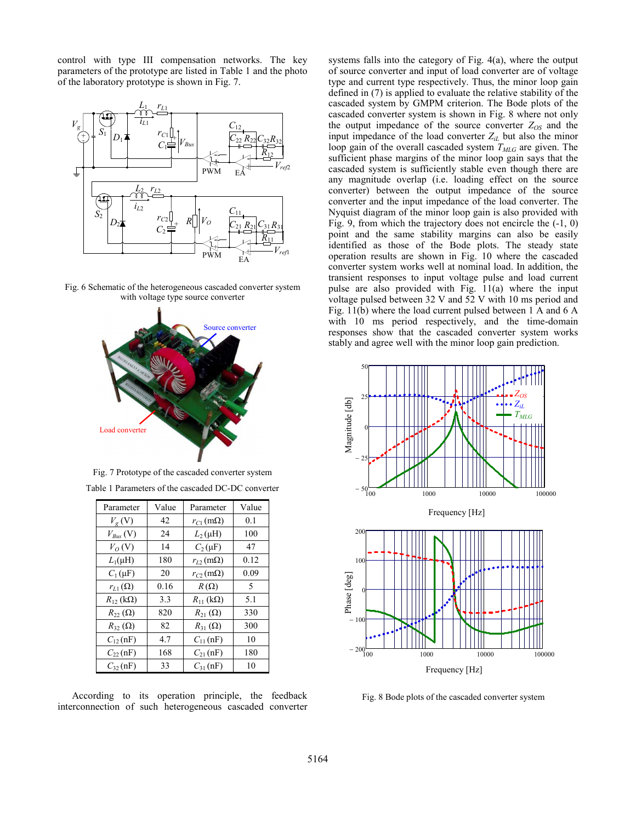control with type III compensation networks. The key parameters of the prototype are listed in Table 1 and the photo of the laboratory prototype is shown in Fig. 7.



Fig. 6 Schematic of the heterogeneous cascaded converter system with voltage type source converter



Fig. 7 Prototype of the cascaded converter system Table 1 Parameters of the cascaded DC-DC converter

| Parameter          | Value | Parameter              | Value |
|--------------------|-------|------------------------|-------|
| $V_{g}$ (V)        | 42    | $r_{C1}$ (m $\Omega$ ) | 0.1   |
| $V_{Bus}$ (V)      | 24    | $L_2(\mu H)$           | 100   |
| $V_O$ (V)          | 14    | $C_2(\mu F)$           | 47    |
| $L_1(\mu H)$       | 180   | $r_{L2}$ (m $\Omega$ ) | 0.12  |
| $C_1(\mu F)$       | 20    | $r_{C2}$ (m $\Omega$ ) | 0.09  |
| $r_{L1}(\Omega)$   | 0.16  | $R(\Omega)$            | 5     |
| $R_{12}$ (kΩ)      | 3.3   | $R_{11}$ (kΩ)          | 5.1   |
| $R_{22}(\Omega)$   | 820   | $R_{21}(\Omega)$       | 330   |
| $R_3$ ( $\Omega$ ) | 82    | $R_{31}(\Omega)$       | 300   |
| $C_{12}$ (nF)      | 4.7   | $C_{11}$ (nF)          | 10    |
| $C_{22}$ (nF)      | 168   | $C_{21}$ (nF)          | 180   |
| $C_{32}$ (nF)      | 33    | $C_{31}$ (nF)          | 10    |

According to its operation principle, the feedback interconnection of such heterogeneous cascaded converter

systems falls into the category of Fig. 4(a), where the output of source converter and input of load converter are of voltage type and current type respectively. Thus, the minor loop gain defined in (7) is applied to evaluate the relative stability of the cascaded system by GMPM criterion. The Bode plots of the cascaded converter system is shown in Fig. 8 where not only the output impedance of the source converter  $Z_{OS}$  and the input impedance of the load converter *ZiL* but also the minor loop gain of the overall cascaded system  $T_{MLG}$  are given. The sufficient phase margins of the minor loop gain says that the cascaded system is sufficiently stable even though there are any magnitude overlap (i.e. loading effect on the source converter) between the output impedance of the source converter and the input impedance of the load converter. The Nyquist diagram of the minor loop gain is also provided with Fig. 9, from which the trajectory does not encircle the (-1, 0) point and the same stability margins can also be easily identified as those of the Bode plots. The steady state operation results are shown in Fig. 10 where the cascaded converter system works well at nominal load. In addition, the transient responses to input voltage pulse and load current pulse are also provided with Fig. 11(a) where the input voltage pulsed between 32 V and 52 V with 10 ms period and Fig. 11(b) where the load current pulsed between 1 A and 6 A with 10 ms period respectively, and the time-domain responses show that the cascaded converter system works stably and agree well with the minor loop gain prediction.



Fig. 8 Bode plots of the cascaded converter system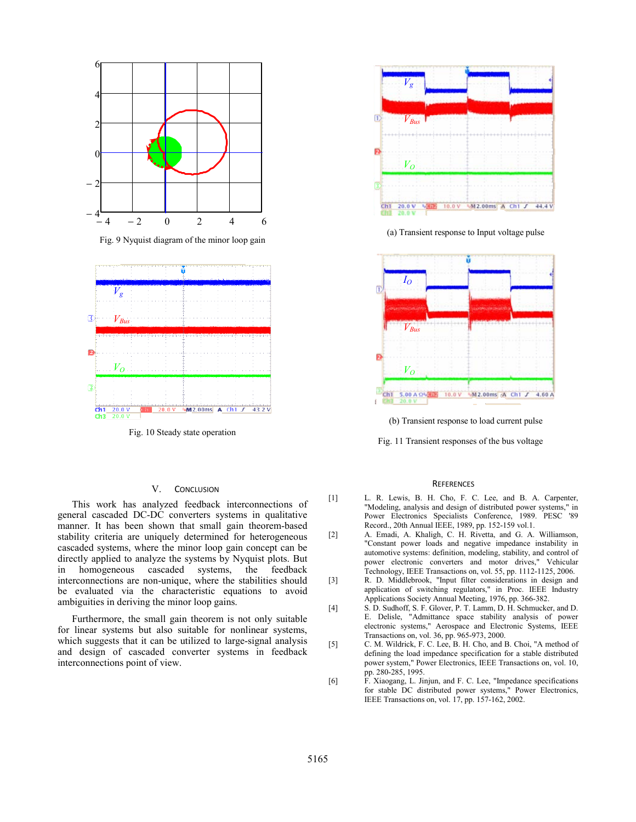

Fig. 9 Nyquist diagram of the minor loop gain



Fig. 10 Steady state operation

# V. CONCLUSION

This work has analyzed feedback interconnections of general cascaded DC-DC converters systems in qualitative manner. It has been shown that small gain theorem-based stability criteria are uniquely determined for heterogeneous cascaded systems, where the minor loop gain concept can be directly applied to analyze the systems by Nyquist plots. But in homogeneous cascaded systems, the feedback interconnections are non-unique, where the stabilities should be evaluated via the characteristic equations to avoid ambiguities in deriving the minor loop gains.

Furthermore, the small gain theorem is not only suitable for linear systems but also suitable for nonlinear systems, which suggests that it can be utilized to large-signal analysis and design of cascaded converter systems in feedback interconnections point of view.



(a) Transient response to Input voltage pulse



(b) Transient response to load current pulse

Fig. 11 Transient responses of the bus voltage

#### **REFERENCES**

- [1] L. R. Lewis, B. H. Cho, F. C. Lee, and B. A. Carpenter, "Modeling, analysis and design of distributed power systems," in Power Electronics Specialists Conference, 1989. PESC '89 Record., 20th Annual IEEE, 1989, pp. 152-159 vol.1.
- [2] A. Emadi, A. Khaligh, C. H. Rivetta, and G. A. Williamson, "Constant power loads and negative impedance instability in automotive systems: definition, modeling, stability, and control of power electronic converters and motor drives," Vehicular Technology, IEEE Transactions on, vol. 55, pp. 1112-1125, 2006.
- [3] R. D. Middlebrook, "Input filter considerations in design and application of switching regulators," in Proc. IEEE Industry Applications Society Annual Meeting, 1976, pp. 366-382.
- [4] S. D. Sudhoff, S. F. Glover, P. T. Lamm, D. H. Schmucker, and D. E. Delisle, "Admittance space stability analysis of power electronic systems," Aerospace and Electronic Systems, IEEE Transactions on, vol. 36, pp. 965-973, 2000.
- [5] C. M. Wildrick, F. C. Lee, B. H. Cho, and B. Choi, "A method of defining the load impedance specification for a stable distributed power system," Power Electronics, IEEE Transactions on, vol. 10, pp. 280-285, 1995.
- [6] F. Xiaogang, L. Jinjun, and F. C. Lee, "Impedance specifications for stable DC distributed power systems," Power Electronics, IEEE Transactions on, vol. 17, pp. 157-162, 2002.